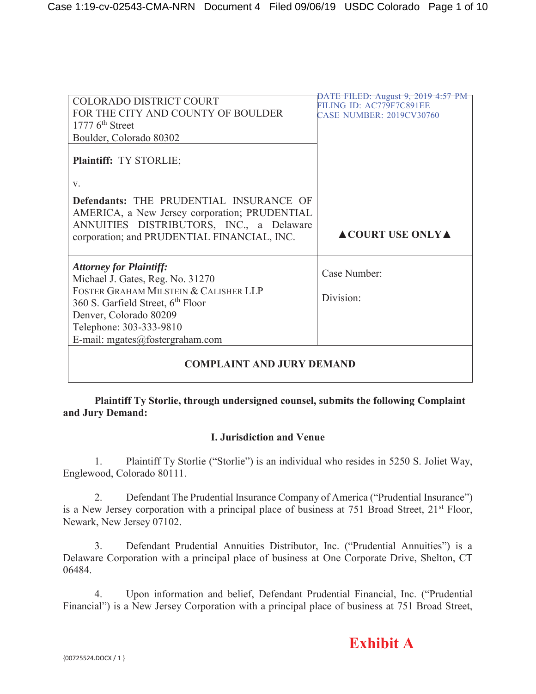| <b>COLORADO DISTRICT COURT</b>                                                           | <u>TE FILED: August 9, 2019 4:57 PM</u><br>FILING ID: AC779F7C891EE |
|------------------------------------------------------------------------------------------|---------------------------------------------------------------------|
| FOR THE CITY AND COUNTY OF BOULDER                                                       | <b>CASE NUMBER: 2019CV30760</b>                                     |
| $17776^{\text{th}}$ Street                                                               |                                                                     |
| Boulder, Colorado 80302                                                                  |                                                                     |
| Plaintiff: TY STORLIE;                                                                   |                                                                     |
| V.                                                                                       |                                                                     |
| Defendants: THE PRUDENTIAL INSURANCE OF<br>AMERICA, a New Jersey corporation; PRUDENTIAL |                                                                     |
| ANNUITIES DISTRIBUTORS, INC., a Delaware<br>corporation; and PRUDENTIAL FINANCIAL, INC.  | <b>ACOURT USE ONLY A</b>                                            |
| <b>Attorney for Plaintiff:</b><br>Michael J. Gates, Reg. No. 31270                       | Case Number:                                                        |
| FOSTER GRAHAM MILSTEIN & CALISHER LLP<br>360 S. Garfield Street, 6 <sup>th</sup> Floor   | Division:                                                           |
| Denver, Colorado 80209                                                                   |                                                                     |
| Telephone: 303-333-9810                                                                  |                                                                     |
| E-mail: mgates@fostergraham.com                                                          |                                                                     |
| <b>COMPLAINT AND JURY DEMAND</b>                                                         |                                                                     |

# **Plaintiff Ty Storlie, through undersigned counsel, submits the following Complaint and Jury Demand:**

# **I. Jurisdiction and Venue**

1. Plaintiff Ty Storlie ("Storlie") is an individual who resides in 5250 S. Joliet Way, Englewood, Colorado 80111.

2. Defendant The Prudential Insurance Company of America ("Prudential Insurance") is a New Jersey corporation with a principal place of business at 751 Broad Street, 21<sup>st</sup> Floor, Newark, New Jersey 07102.

3. Defendant Prudential Annuities Distributor, Inc. ("Prudential Annuities") is a Delaware Corporation with a principal place of business at One Corporate Drive, Shelton, CT 06484.

4. Upon information and belief, Defendant Prudential Financial, Inc. ("Prudential Financial") is a New Jersey Corporation with a principal place of business at 751 Broad Street,

# **Exhibit A**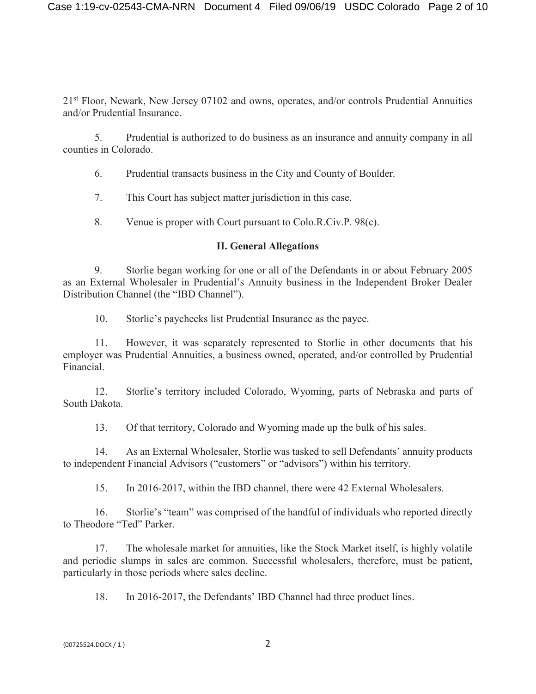21<sup>st</sup> Floor, Newark, New Jersey 07102 and owns, operates, and/or controls Prudential Annuities and/or Prudential Insurance.

5. Prudential is authorized to do business as an insurance and annuity company in all counties in Colorado.

6. Prudential transacts business in the City and County of Boulder.

7. This Court has subject matter jurisdiction in this case.

8. Venue is proper with Court pursuant to Colo.R.Civ.P. 98(c).

## **II. General Allegations**

9. Storlie began working for one or all of the Defendants in or about February 2005 as an External Wholesaler in Prudential's Annuity business in the Independent Broker Dealer Distribution Channel (the "IBD Channel").

10. Storlie's paychecks list Prudential Insurance as the payee.

11. However, it was separately represented to Storlie in other documents that his employer was Prudential Annuities, a business owned, operated, and/or controlled by Prudential Financial.

12. Storlie's territory included Colorado, Wyoming, parts of Nebraska and parts of South Dakota.

13. Of that territory, Colorado and Wyoming made up the bulk of his sales.

14. As an External Wholesaler, Storlie was tasked to sell Defendants' annuity products to independent Financial Advisors ("customers" or "advisors") within his territory.

15. In 2016-2017, within the IBD channel, there were 42 External Wholesalers.

16. Storlie's "team" was comprised of the handful of individuals who reported directly to Theodore "Ted" Parker.

17. The wholesale market for annuities, like the Stock Market itself, is highly volatile and periodic slumps in sales are common. Successful wholesalers, therefore, must be patient, particularly in those periods where sales decline.

18. In 2016-2017, the Defendants' IBD Channel had three product lines.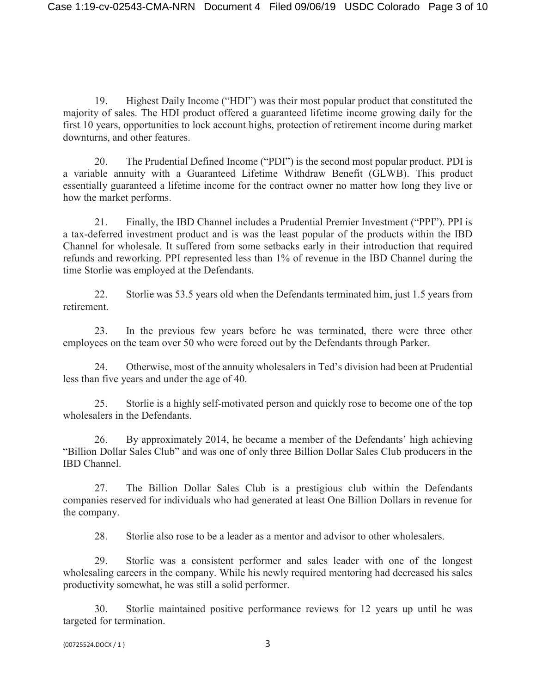19. Highest Daily Income ("HDI") was their most popular product that constituted the majority of sales. The HDI product offered a guaranteed lifetime income growing daily for the first 10 years, opportunities to lock account highs, protection of retirement income during market downturns, and other features.

20. The Prudential Defined Income ("PDI") is the second most popular product. PDI is a variable annuity with a Guaranteed Lifetime Withdraw Benefit (GLWB). This product essentially guaranteed a lifetime income for the contract owner no matter how long they live or how the market performs.

21. Finally, the IBD Channel includes a Prudential Premier Investment ("PPI"). PPI is a tax-deferred investment product and is was the least popular of the products within the IBD Channel for wholesale. It suffered from some setbacks early in their introduction that required refunds and reworking. PPI represented less than 1% of revenue in the IBD Channel during the time Storlie was employed at the Defendants.

22. Storlie was 53.5 years old when the Defendants terminated him, just 1.5 years from retirement.

23. In the previous few years before he was terminated, there were three other employees on the team over 50 who were forced out by the Defendants through Parker.

24. Otherwise, most of the annuity wholesalers in Ted's division had been at Prudential less than five years and under the age of 40.

25. Storlie is a highly self-motivated person and quickly rose to become one of the top wholesalers in the Defendants.

26. By approximately 2014, he became a member of the Defendants' high achieving "Billion Dollar Sales Club" and was one of only three Billion Dollar Sales Club producers in the IBD Channel.

27. The Billion Dollar Sales Club is a prestigious club within the Defendants companies reserved for individuals who had generated at least One Billion Dollars in revenue for the company.

28. Storlie also rose to be a leader as a mentor and advisor to other wholesalers.

29. Storlie was a consistent performer and sales leader with one of the longest wholesaling careers in the company. While his newly required mentoring had decreased his sales productivity somewhat, he was still a solid performer.

30. Storlie maintained positive performance reviews for 12 years up until he was targeted for termination.

```
{00725524.DOCX / 1} 3
```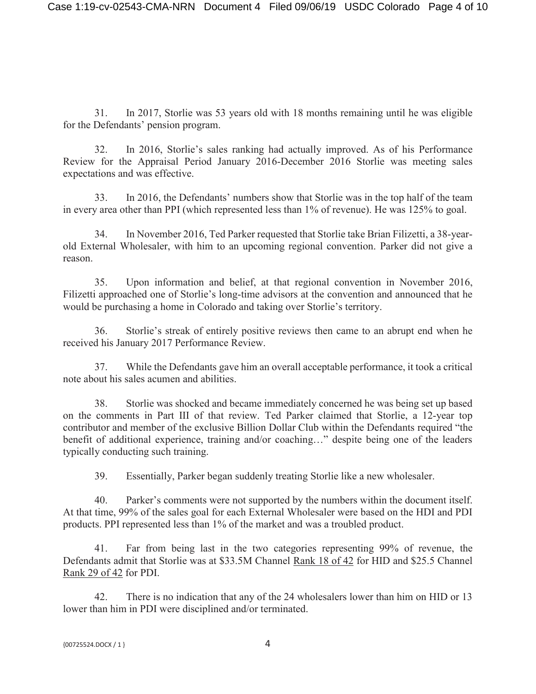31. In 2017, Storlie was 53 years old with 18 months remaining until he was eligible for the Defendants' pension program.

32. In 2016, Storlie's sales ranking had actually improved. As of his Performance Review for the Appraisal Period January 2016-December 2016 Storlie was meeting sales expectations and was effective.

33. In 2016, the Defendants' numbers show that Storlie was in the top half of the team in every area other than PPI (which represented less than 1% of revenue). He was 125% to goal.

34. In November 2016, Ted Parker requested that Storlie take Brian Filizetti, a 38-yearold External Wholesaler, with him to an upcoming regional convention. Parker did not give a reason.

35. Upon information and belief, at that regional convention in November 2016, Filizetti approached one of Storlie's long-time advisors at the convention and announced that he would be purchasing a home in Colorado and taking over Storlie's territory.

36. Storlie's streak of entirely positive reviews then came to an abrupt end when he received his January 2017 Performance Review.

37. While the Defendants gave him an overall acceptable performance, it took a critical note about his sales acumen and abilities.

38. Storlie was shocked and became immediately concerned he was being set up based on the comments in Part III of that review. Ted Parker claimed that Storlie, a 12-year top contributor and member of the exclusive Billion Dollar Club within the Defendants required "the benefit of additional experience, training and/or coaching…" despite being one of the leaders typically conducting such training.

39. Essentially, Parker began suddenly treating Storlie like a new wholesaler.

40. Parker's comments were not supported by the numbers within the document itself. At that time, 99% of the sales goal for each External Wholesaler were based on the HDI and PDI products. PPI represented less than 1% of the market and was a troubled product.

41. Far from being last in the two categories representing 99% of revenue, the Defendants admit that Storlie was at \$33.5M Channel Rank 18 of 42 for HID and \$25.5 Channel Rank 29 of 42 for PDI.

42. There is no indication that any of the 24 wholesalers lower than him on HID or 13 lower than him in PDI were disciplined and/or terminated.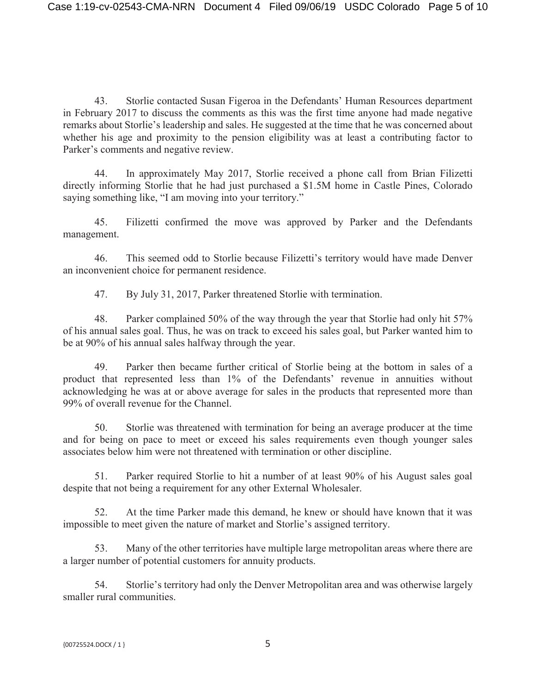43. Storlie contacted Susan Figeroa in the Defendants' Human Resources department in February 2017 to discuss the comments as this was the first time anyone had made negative remarks about Storlie's leadership and sales. He suggested at the time that he was concerned about whether his age and proximity to the pension eligibility was at least a contributing factor to Parker's comments and negative review.

44. In approximately May 2017, Storlie received a phone call from Brian Filizetti directly informing Storlie that he had just purchased a \$1.5M home in Castle Pines, Colorado saying something like, "I am moving into your territory."

45. Filizetti confirmed the move was approved by Parker and the Defendants management.

46. This seemed odd to Storlie because Filizetti's territory would have made Denver an inconvenient choice for permanent residence.

47. By July 31, 2017, Parker threatened Storlie with termination.

48. Parker complained 50% of the way through the year that Storlie had only hit 57% of his annual sales goal. Thus, he was on track to exceed his sales goal, but Parker wanted him to be at 90% of his annual sales halfway through the year.

49. Parker then became further critical of Storlie being at the bottom in sales of a product that represented less than 1% of the Defendants' revenue in annuities without acknowledging he was at or above average for sales in the products that represented more than 99% of overall revenue for the Channel.

50. Storlie was threatened with termination for being an average producer at the time and for being on pace to meet or exceed his sales requirements even though younger sales associates below him were not threatened with termination or other discipline.

51. Parker required Storlie to hit a number of at least 90% of his August sales goal despite that not being a requirement for any other External Wholesaler.

52. At the time Parker made this demand, he knew or should have known that it was impossible to meet given the nature of market and Storlie's assigned territory.

53. Many of the other territories have multiple large metropolitan areas where there are a larger number of potential customers for annuity products.

54. Storlie's territory had only the Denver Metropolitan area and was otherwise largely smaller rural communities.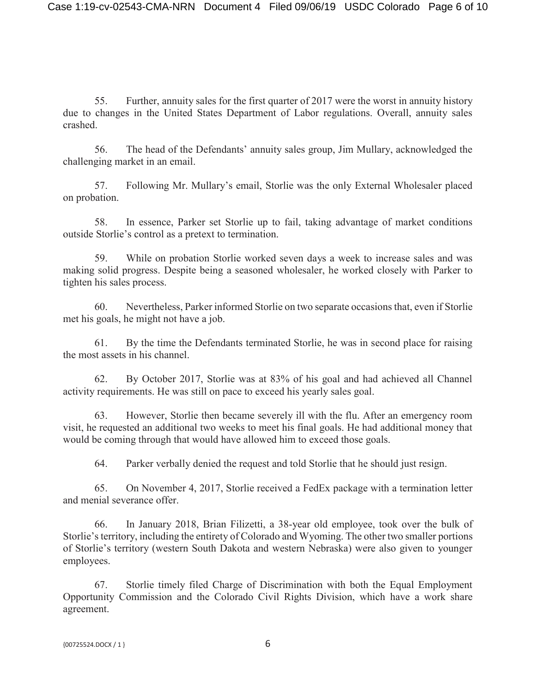55. Further, annuity sales for the first quarter of 2017 were the worst in annuity history due to changes in the United States Department of Labor regulations. Overall, annuity sales crashed.

56. The head of the Defendants' annuity sales group, Jim Mullary, acknowledged the challenging market in an email.

57. Following Mr. Mullary's email, Storlie was the only External Wholesaler placed on probation.

58. In essence, Parker set Storlie up to fail, taking advantage of market conditions outside Storlie's control as a pretext to termination.

59. While on probation Storlie worked seven days a week to increase sales and was making solid progress. Despite being a seasoned wholesaler, he worked closely with Parker to tighten his sales process.

60. Nevertheless, Parker informed Storlie on two separate occasions that, even if Storlie met his goals, he might not have a job.

61. By the time the Defendants terminated Storlie, he was in second place for raising the most assets in his channel.

62. By October 2017, Storlie was at 83% of his goal and had achieved all Channel activity requirements. He was still on pace to exceed his yearly sales goal.

63. However, Storlie then became severely ill with the flu. After an emergency room visit, he requested an additional two weeks to meet his final goals. He had additional money that would be coming through that would have allowed him to exceed those goals.

64. Parker verbally denied the request and told Storlie that he should just resign.

65. On November 4, 2017, Storlie received a FedEx package with a termination letter and menial severance offer.

66. In January 2018, Brian Filizetti, a 38-year old employee, took over the bulk of Storlie's territory, including the entirety of Colorado and Wyoming. The other two smaller portions of Storlie's territory (western South Dakota and western Nebraska) were also given to younger employees.

67. Storlie timely filed Charge of Discrimination with both the Equal Employment Opportunity Commission and the Colorado Civil Rights Division, which have a work share agreement.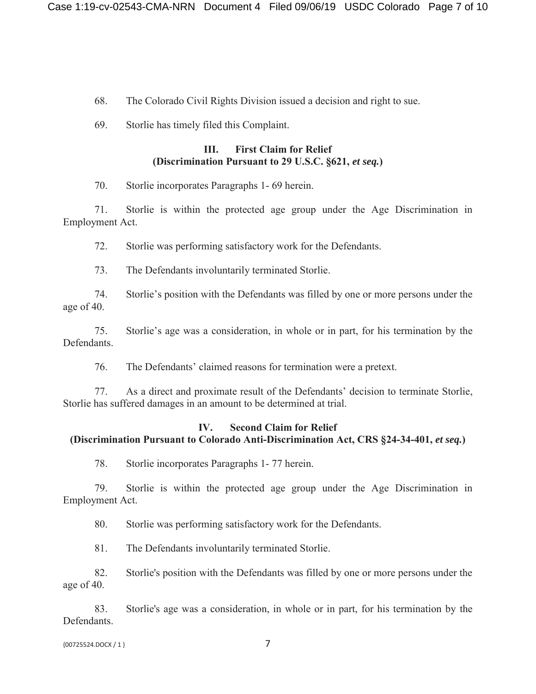- 68. The Colorado Civil Rights Division issued a decision and right to sue.
- 69. Storlie has timely filed this Complaint.

### **III. First Claim for Relief (Discrimination Pursuant to 29 U.S.C. §621,** *et seq.***)**

70. Storlie incorporates Paragraphs 1- 69 herein.

71. Storlie is within the protected age group under the Age Discrimination in Employment Act.

72. Storlie was performing satisfactory work for the Defendants.

73. The Defendants involuntarily terminated Storlie.

74. Storlie's position with the Defendants was filled by one or more persons under the age of 40.

75. Storlie's age was a consideration, in whole or in part, for his termination by the Defendants.

76. The Defendants' claimed reasons for termination were a pretext.

77. As a direct and proximate result of the Defendants' decision to terminate Storlie, Storlie has suffered damages in an amount to be determined at trial.

## **IV. Second Claim for Relief (Discrimination Pursuant to Colorado Anti-Discrimination Act, CRS §24-34-401,** *et seq.***)**

78. Storlie incorporates Paragraphs 1- 77 herein.

79. Storlie is within the protected age group under the Age Discrimination in Employment Act.

80. Storlie was performing satisfactory work for the Defendants.

81. The Defendants involuntarily terminated Storlie.

82. Storlie's position with the Defendants was filled by one or more persons under the age of 40.

83. Storlie's age was a consideration, in whole or in part, for his termination by the Defendants.

{00725524.DOCX / 1 } 7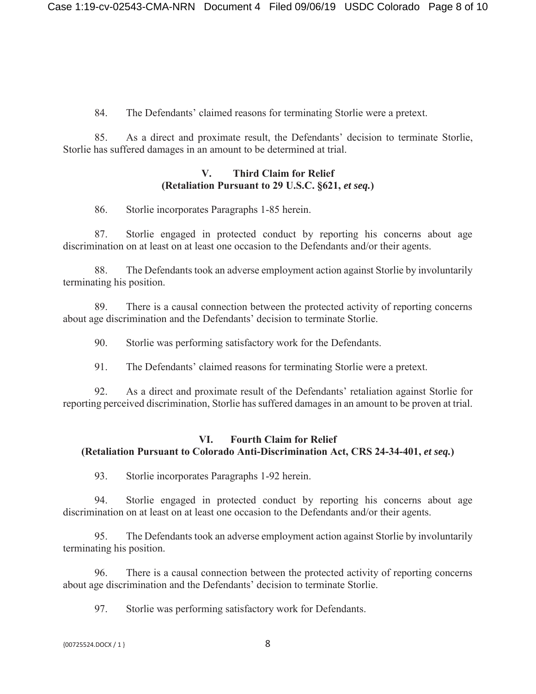84. The Defendants' claimed reasons for terminating Storlie were a pretext.

85. As a direct and proximate result, the Defendants' decision to terminate Storlie, Storlie has suffered damages in an amount to be determined at trial.

## **V. Third Claim for Relief (Retaliation Pursuant to 29 U.S.C. §621,** *et seq.***)**

86. Storlie incorporates Paragraphs 1-85 herein.

87. Storlie engaged in protected conduct by reporting his concerns about age discrimination on at least on at least one occasion to the Defendants and/or their agents.

88. The Defendants took an adverse employment action against Storlie by involuntarily terminating his position.

89. There is a causal connection between the protected activity of reporting concerns about age discrimination and the Defendants' decision to terminate Storlie.

90. Storlie was performing satisfactory work for the Defendants.

91. The Defendants' claimed reasons for terminating Storlie were a pretext.

92. As a direct and proximate result of the Defendants' retaliation against Storlie for reporting perceived discrimination, Storlie has suffered damages in an amount to be proven at trial.

# **VI. Fourth Claim for Relief (Retaliation Pursuant to Colorado Anti-Discrimination Act, CRS 24-34-401,** *et seq.***)**

93. Storlie incorporates Paragraphs 1-92 herein.

94. Storlie engaged in protected conduct by reporting his concerns about age discrimination on at least on at least one occasion to the Defendants and/or their agents.

95. The Defendants took an adverse employment action against Storlie by involuntarily terminating his position.

96. There is a causal connection between the protected activity of reporting concerns about age discrimination and the Defendants' decision to terminate Storlie.

97. Storlie was performing satisfactory work for Defendants.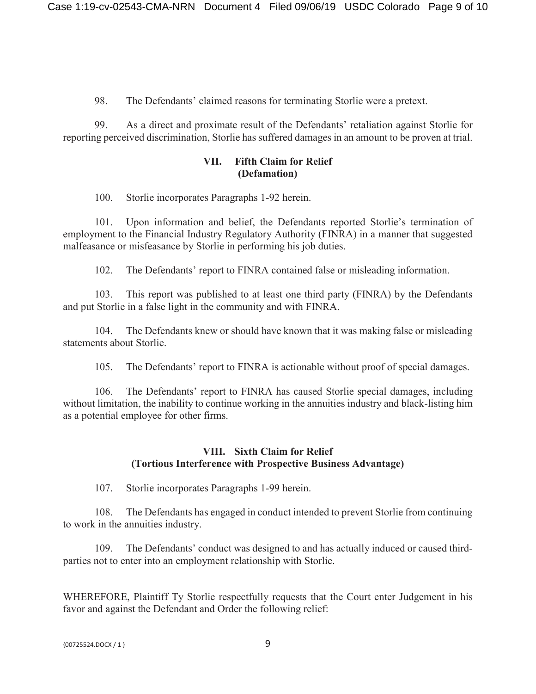98. The Defendants' claimed reasons for terminating Storlie were a pretext.

99. As a direct and proximate result of the Defendants' retaliation against Storlie for reporting perceived discrimination, Storlie has suffered damages in an amount to be proven at trial.

#### **VII. Fifth Claim for Relief (Defamation)**

100. Storlie incorporates Paragraphs 1-92 herein.

101. Upon information and belief, the Defendants reported Storlie's termination of employment to the Financial Industry Regulatory Authority (FINRA) in a manner that suggested malfeasance or misfeasance by Storlie in performing his job duties.

102. The Defendants' report to FINRA contained false or misleading information.

103. This report was published to at least one third party (FINRA) by the Defendants and put Storlie in a false light in the community and with FINRA.

104. The Defendants knew or should have known that it was making false or misleading statements about Storlie.

105. The Defendants' report to FINRA is actionable without proof of special damages.

106. The Defendants' report to FINRA has caused Storlie special damages, including without limitation, the inability to continue working in the annuities industry and black-listing him as a potential employee for other firms.

## **VIII. Sixth Claim for Relief (Tortious Interference with Prospective Business Advantage)**

107. Storlie incorporates Paragraphs 1-99 herein.

108. The Defendants has engaged in conduct intended to prevent Storlie from continuing to work in the annuities industry.

109. The Defendants' conduct was designed to and has actually induced or caused thirdparties not to enter into an employment relationship with Storlie.

WHEREFORE, Plaintiff Ty Storlie respectfully requests that the Court enter Judgement in his favor and against the Defendant and Order the following relief: